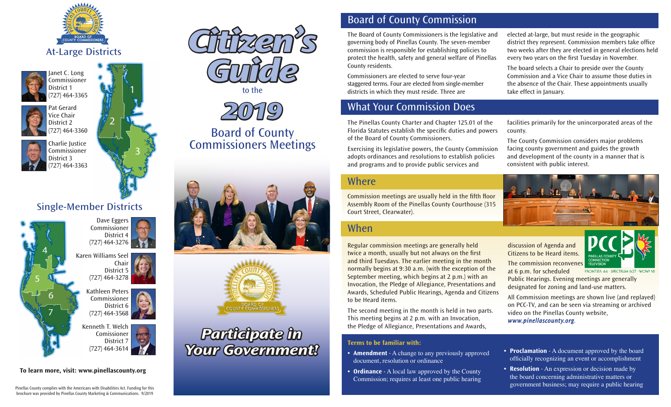





Janet C. Long

Pat Gerard Vice Chair District 2 (727) 464-3360



District 3



Charlie Justice Commissioner (727) 464-3363

# Single-Member Districts

District 4

Chair District 5

District 6

District 7



**To learn more, visit: www.pinellascounty.org**







# Board of County Commissioners Meetings





# *Participate in Your Government!*

## Board of County Commission

The Board of County Commissioners is the legislative and governing body of Pinellas County. The seven-member commission is responsible for establishing policies to protect the health, safety and general welfare of Pinellas County residents.

Commissioners are elected to serve four-year staggered terms. Four are elected from single-member districts in which they must reside. Three are

## What Your Commission Does

The Pinellas County Charter and Chapter 125.01 of the Florida Statutes establish the specific duties and powers of the Board of County Commissioners.

Exercising its legislative powers, the County Commission adopts ordinances and resolutions to establish policies and programs and to provide public services and

#### Where

Commission meetings are usually held in the fifth floor Assembly Room of the Pinellas County Courthouse (315 Court Street, Clearwater).

#### When

Regular commission meetings are generally held twice a month, usually but not always on the first and third Tuesdays. The earlier meeting in the month normally begins at 9:30 a.m. (with the exception of the September meeting, which begins at 2 p.m.) with an Invocation, the Pledge of Allegiance, Presentations and Awards, Scheduled Public Hearings, Agenda and Citizens to be Heard items.

The second meeting in the month is held in two parts. This meeting begins at 2 p.m. with an Invocation, the Pledge of Allegiance, Presentations and Awards,

#### **Terms to be familiar with:**

- **• Amendment** A change to any previously approved document, resolution or ordinance
- **• Ordinance** A local law approved by the County Commission; requires at least one public hearing

elected at-large, but must reside in the geographic district they represent. Commission members take office two weeks after they are elected in general elections held every two years on the first Tuesday in November.

The board selects a Chair to preside over the County Commission and a Vice Chair to assume those duties in the absence of the Chair. These appointments usually take effect in January.

facilities primarily for the unincorporated areas of the county.

The County Commission considers major problems facing county government and guides the growth and development of the county in a manner that is consistent with public interest.



discussion of Agenda and Citizens to be Heard items.

The commission reconvenes **TELEVISION** 

FRONTIER 44 · SPECTRUM 637 · WOW! 18

at 6 p.m. for scheduled Public Hearings. Evening meetings are generally designated for zoning and land-use matters.

All Commission meetings are shown live (and replayed) on PCC-TV, and can be seen via streaming or archived video on the Pinellas County website,

*www.pinellascounty.org*.

- **• Proclamation** A document approved by the board officially recognizing an event or accomplishment
- **• Resolution** An expression or decision made by the board concerning administrative matters or government business; may require a public hearing